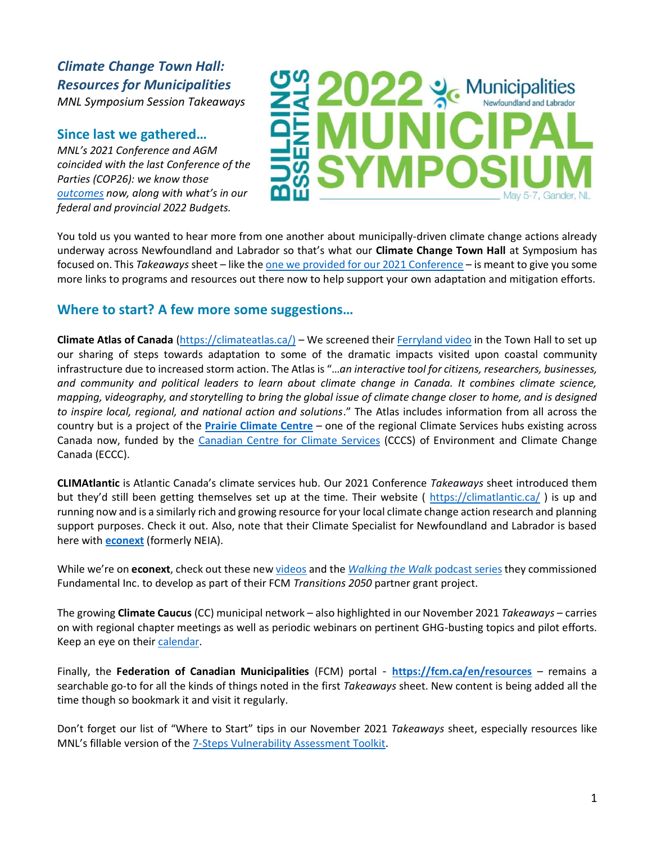# *Climate Change Town Hall: Resources for Municipalities MNL Symposium Session Takeaways*

### **Since last we gathered…**

*MNL's 2021 Conference and AGM coincided with the last Conference of the Parties (COP26): we know those [outcomes](https://ukcop26.org/the-conference/cop26-outcomes/) now, along with what's in our federal and provincial 2022 Budgets.* 

# Municipalities

You told us you wanted to hear more from one another about municipally-driven climate change actions already underway across Newfoundland and Labrador so that's what our **Climate Change Town Hall** at Symposium has focused on. This *Takeaways* sheet – like th[e one we provided for our 2021 Conference](https://municipalnl.ca/site/uploads/2022/05/Climate-Resilience-Takeaways-handout-UPDATED-Nov2021.pdf) – is meant to give you some more links to programs and resources out there now to help support your own adaptation and mitigation efforts.

# **Where to start? A few more some suggestions…**

**Climate Atlas of Canada** [\(https://climateatlas.ca/\)](https://climateatlas.ca/) – We screened their [Ferryland video](https://climateatlas.ca/video/ferryland-newfoundland) in the Town Hall to set up our sharing of steps towards adaptation to some of the dramatic impacts visited upon coastal community infrastructure due to increased storm action. The Atlas is "…*an interactive tool for citizens, researchers, businesses, and community and political leaders to learn about climate change in Canada. It combines climate science, mapping, videography, and storytelling to bring the global issue of climate change closer to home, and is designed to inspire local, regional, and national action and solutions*." The Atlas includes information from all across the country but is a project of the **[Prairie Climate Centre](https://prairieclimatecentre.ca/)** – one of the regional Climate Services hubs existing across Canada now, funded by the [Canadian Centre for](https://www.canada.ca/en/environment-climate-change/services/climate-change/canadian-centre-climate-services.html) Climate Services (CCCS) of Environment and Climate Change Canada (ECCC).

**CLIMAtlantic** is Atlantic Canada's climate services hub. Our 2021 Conference *Takeaways* sheet introduced them but they'd still been getting themselves set up at the time. Their website (<https://climatlantic.ca/>) is up and running now and is a similarly rich and growing resource for your local climate change action research and planning support purposes. Check it out. Also, note that their Climate Specialist for Newfoundland and Labrador is based here with **[econext](https://econext.ca/)** (formerly NEIA).

While we're on **econext**, check out these new [videos](https://www.youtube.com/channel/UCF5bIHtpTSx7AHtt2GGWWiA/videos) and the *[Walking the Walk](https://fundamentalinc.ca/podcast-episodes/)* podcast series they commissioned Fundamental Inc. to develop as part of their FCM *Transitions 2050* partner grant project.

The growing **Climate Caucus** (CC) municipal network – also highlighted in our November 2021 *Takeaways* – carries on with regional chapter meetings as well as periodic webinars on pertinent GHG-busting topics and pilot efforts. Keep an eye on thei[r calendar.](https://www.climatecaucus.ca/calendar)

Finally, the **Federation of Canadian Municipalities** (FCM) portal - **<https://fcm.ca/en/resources>** – remains a searchable go-to for all the kinds of things noted in the first *Takeaways* sheet. New content is being added all the time though so bookmark it and visit it regularly.

Don't forget our list of "Where to Start" tips in our November 2021 *Takeaways* sheet, especially resources like MNL's fillable version of the [7-Steps Vulnerability Assessment Toolkit.](https://municipalnl.ca/site/uploads/2016/09/department-of-environment-7-steps-to-assess-climate-change-vulnerability-in-your-community.pdf)